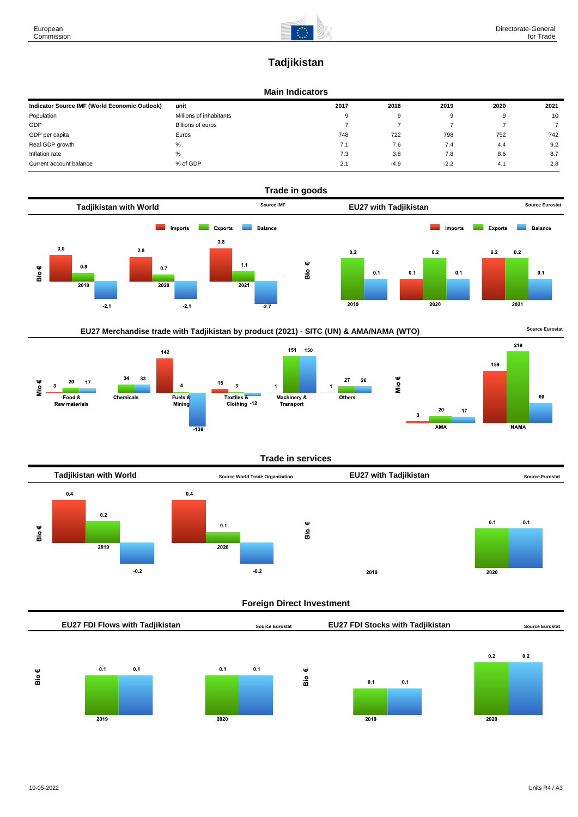219

**NAMA** 

60

# **Tadjikistan**

#### **Main Indicators**

| Indicator Source IMF (World Economic Outlook) | unit                    | 2017 | 2018   | 2019   | 2020 | 2021 |
|-----------------------------------------------|-------------------------|------|--------|--------|------|------|
| Population                                    | Millions of inhabitants | 9    | 9      |        | 9    | 10   |
| GDP                                           | Billions of euros       |      |        |        |      |      |
| GDP per capita                                | Euros                   | 748  | 722    | 798    | 752  | 742  |
| Real GDP growth                               | %                       | 7.1  | 7.6    | 7.4    | 4.4  | 9.2  |
| Inflation rate                                | $\%$                    | 7.3  | 3.8    | 7.8    | 8.6  | 8.7  |
| Current account balance                       | % of GDP                | 2.1  | $-4.9$ | $-2.2$ | 4.1  | 2.8  |



### EU27 Merchandise trade with Tadjikistan by product (2021) - SITC (UN) & AMA/NAMA (WTO) **Source Eurostat**



#### **Trade in services**



#### **Foreign Direct Investment**